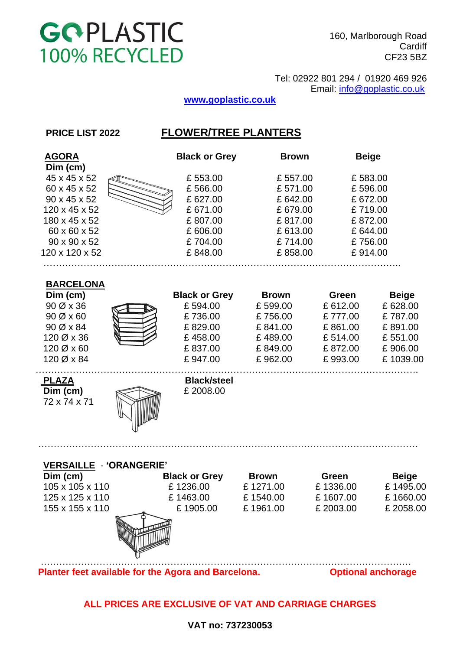

160, Marlborough Road **Cardiff** CF23 5BZ

 Tel: 02922 801 294 / 01920 469 926 Email: [info@goplastic.co.uk](mailto:info@goplastic.co.uk)

# **[www.goplastic.co.uk](http://www.goplastic.co.uk/)**

# **PRICE LIST 2022 FLOWER/TREE PLANTERS**

| <b>AGORA</b><br>Dim (cm)                                                                                                         | <b>Black or Grey</b>                                                                   | <b>Brown</b>                                                                         | <b>Beige</b>                                                                         |                                                                                 |
|----------------------------------------------------------------------------------------------------------------------------------|----------------------------------------------------------------------------------------|--------------------------------------------------------------------------------------|--------------------------------------------------------------------------------------|---------------------------------------------------------------------------------|
| 45 x 45 x 52<br>60 x 45 x 52<br>90 x 45 x 52<br>120 x 45 x 52<br>180 x 45 x 52<br>60 x 60 x 52<br>90 x 90 x 52<br>120 x 120 x 52 | £553.00<br>£566.00<br>£627.00<br>£671.00<br>£807.00<br>£606.00<br>£704.00<br>£848.00   | £557.00<br>£571.00<br>£642.00<br>£679.00<br>£817.00<br>£613.00<br>£714.00<br>£858.00 | £583.00<br>£596.00<br>£672.00<br>£719.00<br>£872.00<br>£644.00<br>£756.00<br>£914.00 |                                                                                 |
| <b>BARCELONA</b><br>Dim (cm)<br>90 Ø x 36<br>90 Ø x 60<br>90 Ø x 84<br>120 Ø x 36<br>120 Ø x 60<br>120 Ø x 84                    | <b>Black or Grey</b><br>£594.00<br>£736.00<br>£829.00<br>£458.00<br>£837.00<br>£947.00 | <b>Brown</b><br>£599.00<br>£756.00<br>£841.00<br>£489.00<br>£849.00<br>£962.00       | Green<br>£612.00<br>£777.00<br>£861.00<br>£514.00<br>£872.00<br>£993.00              | <b>Beige</b><br>£628.00<br>£787.00<br>£891.00<br>£551.00<br>£906.00<br>£1039.00 |
| <u>PLAZA</u><br>Dim (cm)<br>72 x 74 x 71                                                                                         | <b>Black/steel</b><br>£2008.00                                                         |                                                                                      |                                                                                      |                                                                                 |
| <b>VERSAILLE - 'ORANGERIE'</b><br>Dim (cm)<br>105 x 105 x 110<br>125 x 125 x 110<br>155 x 155 x 110                              | <b>Black or Grey</b><br>£1236.00<br>£1463.00<br>£1905.00                               | <b>Brown</b><br>£1271.00<br>£1540.00<br>£1961.00                                     | Green<br>£1336.00<br>£1607.00<br>£ 2003.00                                           | <b>Beige</b><br>£1495.00<br>£1660.00<br>£ 2058.00                               |
| Planter feet available for the Agora and Barcelona.                                                                              |                                                                                        |                                                                                      |                                                                                      | <b>Optional anchorage</b>                                                       |

**ALL PRICES ARE EXCLUSIVE OF VAT AND CARRIAGE CHARGES**

# **VAT no: 737230053**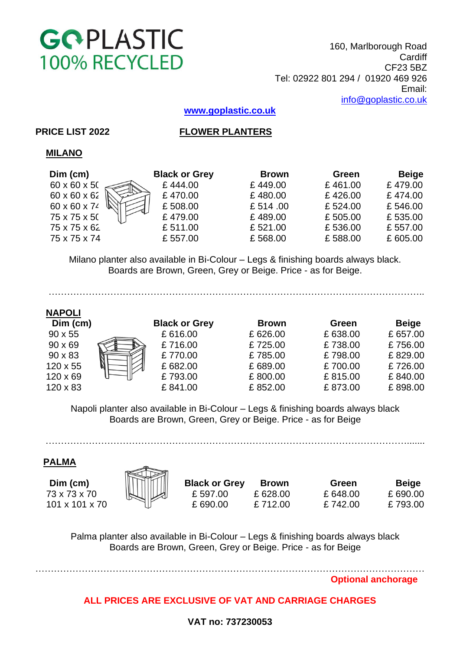

160, Marlborough Road **Cardiff** CF23 5BZ Tel: 02922 801 294 / 01920 469 926 Email: [info@goplastic.co.uk](mailto:info@goplastic.co.uk)

**[www.goplastic.co.uk](http://www.goplastic.co.uk/)**

# **PRICE LIST 2022 FLOWER PLANTERS**

# **MILANO**

| Dim (cm)     | <b>Black or Grey</b> | <b>Brown</b> | Green   | <b>Beige</b> |
|--------------|----------------------|--------------|---------|--------------|
| 60 x 60 x 50 | £444.00              | £449.00      | £461.00 | £479.00      |
| 60 x 60 x 62 | £470.00              | £480.00      | £426.00 | £474.00      |
| 60 x 60 x 74 | £508.00              | £ 514.00     | £524.00 | £546.00      |
| 75 x 75 x 50 | £479.00              | £489.00      | £505.00 | £535.00      |
| 75 x 75 x 62 | £511.00              | £521.00      | £536.00 | £557.00      |
| 75 x 75 x 74 | £557.00              | £568.00      | £588.00 | £605.00      |
|              |                      |              |         |              |

 Milano planter also available in Bi-Colour – Legs & finishing boards always black. Boards are Brown, Green, Grey or Beige. Price - as for Beige.

| <b>NAPOLI</b> |
|---------------|
|---------------|

…………………………………………………………………………………………………………..

| Dim (cm)        | <b>Black or Grey</b> | <b>Brown</b> | <b>Green</b> | <b>Beige</b> |
|-----------------|----------------------|--------------|--------------|--------------|
| $90 \times 55$  | £616.00              | £626.00      | £638.00      | £657.00      |
| $90 \times 69$  | £716.00              | £725.00      | £738.00      | £756.00      |
| $90 \times 83$  | £770.00              | £785.00      | £798.00      | £829.00      |
| $120 \times 55$ | £682.00              | £689.00      | £700.00      | £726.00      |
| $120 \times 69$ | £793.00              | £800.00      | £815.00      | £840.00      |
| $120 \times 83$ | £841.00              | £852.00      | £873.00      | £898.00      |

 Napoli planter also available in Bi-Colour – Legs & finishing boards always black Boards are Brown, Green, Grey or Beige. Price - as for Beige

……………………………………………………………………………………………………….......

 **PALMA** 

 **Dim (cm) Black or Grey Brown Green Beige** 73 x 73 x 70 £ 597.00 £ 628.00 £ 648.00 £ 690.00 101 x 101 x 70 £ 690.00 £ 712.00 £ 742.00 £ 793.00



 Palma planter also available in Bi-Colour – Legs & finishing boards always black Boards are Brown, Green, Grey or Beige. Price - as for Beige

………………………………………………………………………………………………………………

 **Optional anchorage**

# **ALL PRICES ARE EXCLUSIVE OF VAT AND CARRIAGE CHARGES**

# **VAT no: 737230053**